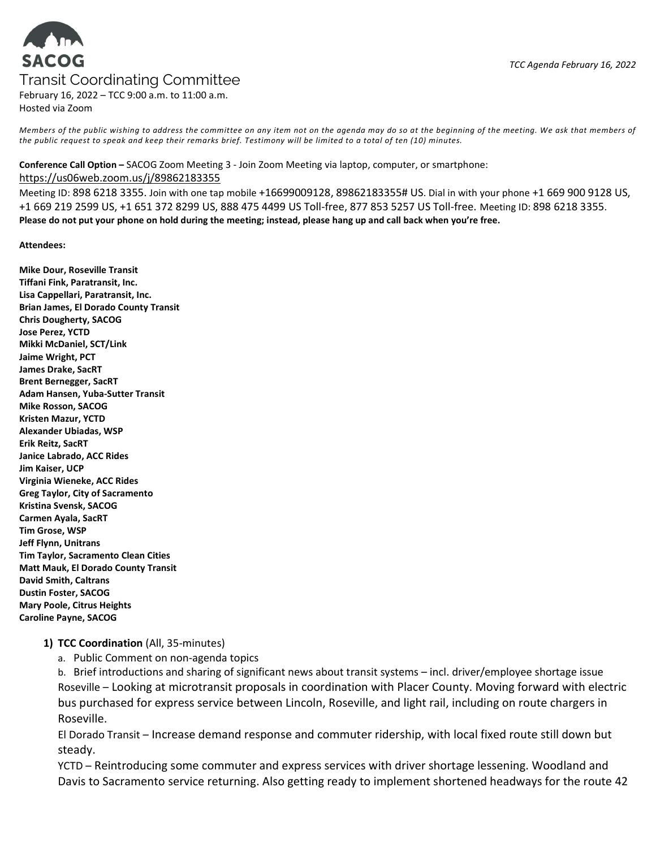# **SACOG** Transit Coordinating Committee

February 16, 2022 – TCC 9:00 a.m. to 11:00 a.m. Hosted via Zoom

Members of the public wishing to address the committee on any item not on the agenda may do so at the beginning of the meeting. We ask that members of the public request to speak and keep their remarks brief. Testimony will be limited to a total of ten (10) minutes.

### Conference Call Option – SACOG Zoom Meeting 3 - Join Zoom Meeting via laptop, computer, or smartphone:

#### https://us06web.zoom.us/j/89862183355

Meeting ID: 898 6218 3355. Join with one tap mobile +16699009128, 89862183355# US. Dial in with your phone +1 669 900 9128 US, +1 669 219 2599 US, +1 651 372 8299 US, 888 475 4499 US Toll-free, 877 853 5257 US Toll-free. Meeting ID: 898 6218 3355. Please do not put your phone on hold during the meeting; instead, please hang up and call back when you're free.

Attendees:

Mike Dour, Roseville Transit Tiffani Fink, Paratransit, Inc. Lisa Cappellari, Paratransit, Inc. Brian James, El Dorado County Transit Chris Dougherty, SACOG Jose Perez, YCTD Mikki McDaniel, SCT/Link Jaime Wright, PCT James Drake, SacRT Brent Bernegger, SacRT Adam Hansen, Yuba-Sutter Transit Mike Rosson, SACOG Kristen Mazur, YCTD Alexander Ubiadas, WSP Erik Reitz, SacRT Janice Labrado, ACC Rides Jim Kaiser, UCP Virginia Wieneke, ACC Rides Greg Taylor, City of Sacramento Kristina Svensk, SACOG Carmen Ayala, SacRT Tim Grose, WSP Jeff Flynn, Unitrans Tim Taylor, Sacramento Clean Cities Matt Mauk, El Dorado County Transit David Smith, Caltrans Dustin Foster, SACOG Mary Poole, Citrus Heights Caroline Payne, SACOG

# 1) TCC Coordination (All, 35-minutes)

a. Public Comment on non-agenda topics

b. Brief introductions and sharing of significant news about transit systems – incl. driver/employee shortage issue Roseville – Looking at microtransit proposals in coordination with Placer County. Moving forward with electric bus purchased for express service between Lincoln, Roseville, and light rail, including on route chargers in Roseville.

El Dorado Transit – Increase demand response and commuter ridership, with local fixed route still down but steady.

YCTD – Reintroducing some commuter and express services with driver shortage lessening. Woodland and Davis to Sacramento service returning. Also getting ready to implement shortened headways for the route 42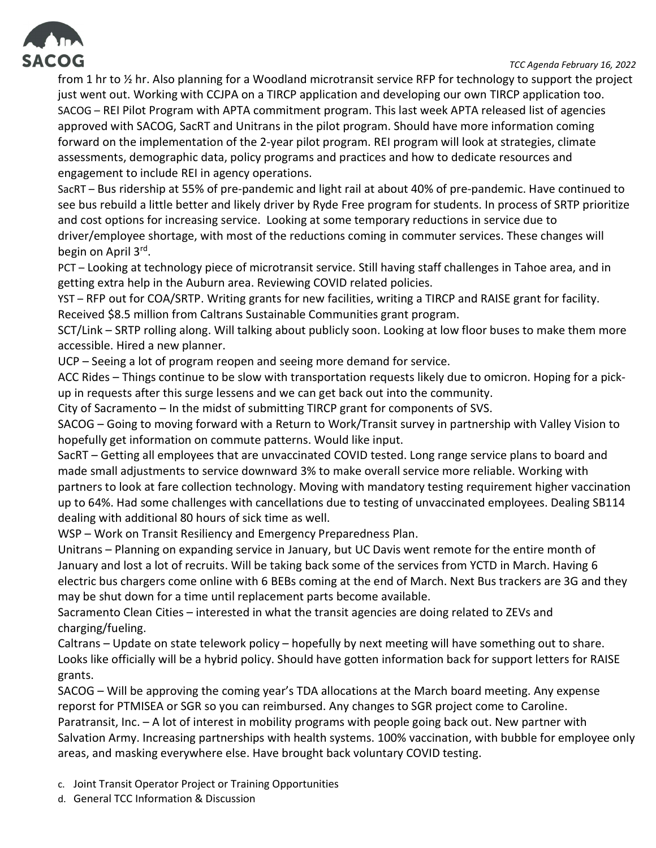



from 1 hr to ½ hr. Also planning for a Woodland microtransit service RFP for technology to support the project just went out. Working with CCJPA on a TIRCP application and developing our own TIRCP application too. SACOG – REI Pilot Program with APTA commitment program. This last week APTA released list of agencies approved with SACOG, SacRT and Unitrans in the pilot program. Should have more information coming forward on the implementation of the 2-year pilot program. REI program will look at strategies, climate assessments, demographic data, policy programs and practices and how to dedicate resources and engagement to include REI in agency operations.

SacRT – Bus ridership at 55% of pre-pandemic and light rail at about 40% of pre-pandemic. Have continued to see bus rebuild a little better and likely driver by Ryde Free program for students. In process of SRTP prioritize and cost options for increasing service. Looking at some temporary reductions in service due to driver/employee shortage, with most of the reductions coming in commuter services. These changes will begin on April 3<sup>rd</sup>.

PCT – Looking at technology piece of microtransit service. Still having staff challenges in Tahoe area, and in getting extra help in the Auburn area. Reviewing COVID related policies.

YST – RFP out for COA/SRTP. Writing grants for new facilities, writing a TIRCP and RAISE grant for facility. Received \$8.5 million from Caltrans Sustainable Communities grant program.

SCT/Link – SRTP rolling along. Will talking about publicly soon. Looking at low floor buses to make them more accessible. Hired a new planner.

UCP – Seeing a lot of program reopen and seeing more demand for service.

ACC Rides – Things continue to be slow with transportation requests likely due to omicron. Hoping for a pickup in requests after this surge lessens and we can get back out into the community.

City of Sacramento – In the midst of submitting TIRCP grant for components of SVS.

SACOG – Going to moving forward with a Return to Work/Transit survey in partnership with Valley Vision to hopefully get information on commute patterns. Would like input.

SacRT – Getting all employees that are unvaccinated COVID tested. Long range service plans to board and made small adjustments to service downward 3% to make overall service more reliable. Working with partners to look at fare collection technology. Moving with mandatory testing requirement higher vaccination up to 64%. Had some challenges with cancellations due to testing of unvaccinated employees. Dealing SB114 dealing with additional 80 hours of sick time as well.

WSP – Work on Transit Resiliency and Emergency Preparedness Plan.

Unitrans – Planning on expanding service in January, but UC Davis went remote for the entire month of January and lost a lot of recruits. Will be taking back some of the services from YCTD in March. Having 6 electric bus chargers come online with 6 BEBs coming at the end of March. Next Bus trackers are 3G and they may be shut down for a time until replacement parts become available.

Sacramento Clean Cities – interested in what the transit agencies are doing related to ZEVs and charging/fueling.

Caltrans – Update on state telework policy – hopefully by next meeting will have something out to share. Looks like officially will be a hybrid policy. Should have gotten information back for support letters for RAISE grants.

SACOG – Will be approving the coming year's TDA allocations at the March board meeting. Any expense reporst for PTMISEA or SGR so you can reimbursed. Any changes to SGR project come to Caroline. Paratransit, Inc. – A lot of interest in mobility programs with people going back out. New partner with Salvation Army. Increasing partnerships with health systems. 100% vaccination, with bubble for employee only areas, and masking everywhere else. Have brought back voluntary COVID testing.

- c. Joint Transit Operator Project or Training Opportunities
- d. General TCC Information & Discussion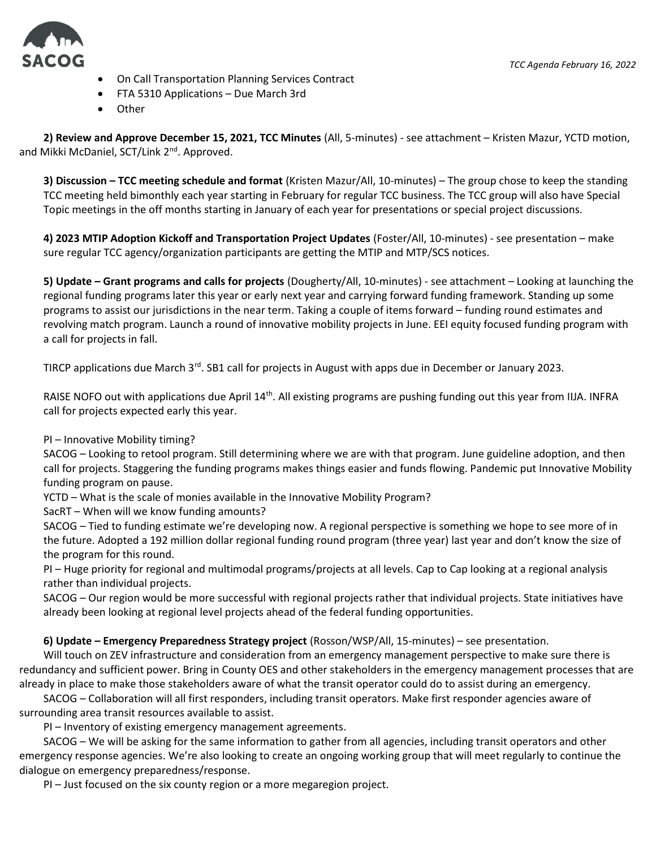

- On Call Transportation Planning Services Contract
- FTA 5310 Applications Due March 3rd
- **Other**

2) Review and Approve December 15, 2021, TCC Minutes (All, 5-minutes) - see attachment – Kristen Mazur, YCTD motion, and Mikki McDaniel, SCT/Link 2<sup>nd</sup>. Approved.

3) Discussion – TCC meeting schedule and format (Kristen Mazur/All, 10-minutes) – The group chose to keep the standing TCC meeting held bimonthly each year starting in February for regular TCC business. The TCC group will also have Special Topic meetings in the off months starting in January of each year for presentations or special project discussions.

4) 2023 MTIP Adoption Kickoff and Transportation Project Updates (Foster/All, 10-minutes) - see presentation – make sure regular TCC agency/organization participants are getting the MTIP and MTP/SCS notices.

5) Update – Grant programs and calls for projects (Dougherty/All, 10-minutes) - see attachment – Looking at launching the regional funding programs later this year or early next year and carrying forward funding framework. Standing up some programs to assist our jurisdictions in the near term. Taking a couple of items forward – funding round estimates and revolving match program. Launch a round of innovative mobility projects in June. EEI equity focused funding program with a call for projects in fall.

TIRCP applications due March 3<sup>rd</sup>. SB1 call for projects in August with apps due in December or January 2023.

RAISE NOFO out with applications due April 14<sup>th</sup>. All existing programs are pushing funding out this year from IIJA. INFRA call for projects expected early this year.

PI – Innovative Mobility timing?

SACOG – Looking to retool program. Still determining where we are with that program. June guideline adoption, and then call for projects. Staggering the funding programs makes things easier and funds flowing. Pandemic put Innovative Mobility funding program on pause.

YCTD – What is the scale of monies available in the Innovative Mobility Program?

SacRT – When will we know funding amounts?

SACOG – Tied to funding estimate we're developing now. A regional perspective is something we hope to see more of in the future. Adopted a 192 million dollar regional funding round program (three year) last year and don't know the size of the program for this round.

PI – Huge priority for regional and multimodal programs/projects at all levels. Cap to Cap looking at a regional analysis rather than individual projects.

SACOG – Our region would be more successful with regional projects rather that individual projects. State initiatives have already been looking at regional level projects ahead of the federal funding opportunities.

# 6) Update – Emergency Preparedness Strategy project (Rosson/WSP/All, 15-minutes) – see presentation.

Will touch on ZEV infrastructure and consideration from an emergency management perspective to make sure there is redundancy and sufficient power. Bring in County OES and other stakeholders in the emergency management processes that are already in place to make those stakeholders aware of what the transit operator could do to assist during an emergency.

SACOG – Collaboration will all first responders, including transit operators. Make first responder agencies aware of surrounding area transit resources available to assist.

PI – Inventory of existing emergency management agreements.

SACOG – We will be asking for the same information to gather from all agencies, including transit operators and other emergency response agencies. We're also looking to create an ongoing working group that will meet regularly to continue the dialogue on emergency preparedness/response.

PI – Just focused on the six county region or a more megaregion project.